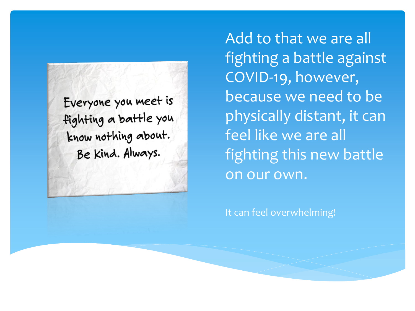Everyone you meet is fighting a battle you know nothing about. Be kind. Always.

Add to that we are all fighting a battle against COVID-19, however, because we need to be physically distant, it can feel like we are all fighting this new battle on our own.

It can feel overwhelming!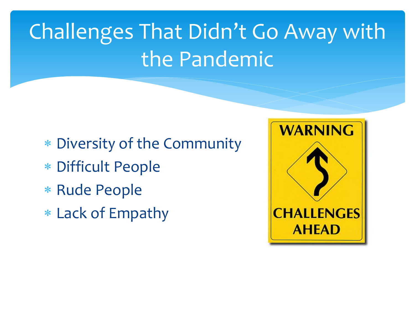## Challenges That Didn't Go Away with the Pandemic

- Diversity of the Community
- Difficult People
- \* Rude People
- Lack of Empathy

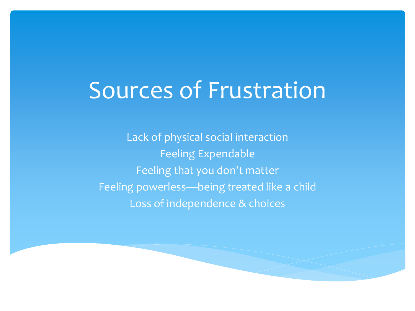### Sources of Frustration

Lack of physical social interaction Feeling Expendable Feeling that you don't matter Feeling powerless—being treated like a child Loss of independence & choices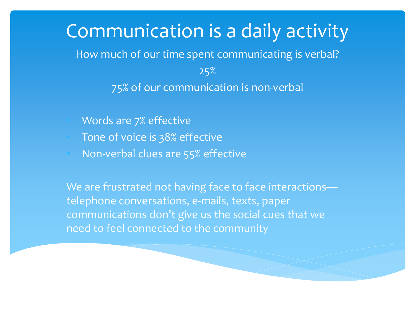#### Communication is a daily activity How much of our time spent communicating is verbal?

25% 75% of our communication is non-verbal

- Words are 7% effective
- Tone of voice is 38% effective
- Non-verbal clues are 55% effective

We are frustrated not having face to face interactionstelephone conversations, e-mails, texts, paper communications don't give us the social cues that we need to feel connected to the community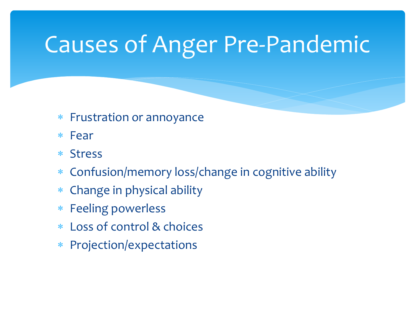### Causes of Anger Pre-Pandemic

- Frustration or annoyance
- Fear
- Stress
- Confusion/memory loss/change in cognitive ability
- Change in physical ability
- Feeling powerless
- Loss of control & choices
- Projection/expectations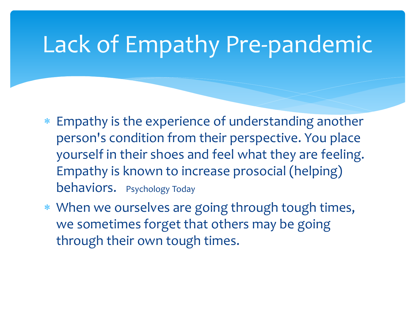### Lack of Empathy Pre-pandemic

- Empathy is the experience of understanding another person's condition from their perspective. You place yourself in their shoes and feel what they are feeling. Empathy is known to increase prosocial (helping) behaviors. Psychology Today
- When we ourselves are going through tough times, we sometimes forget that others may be going through their own tough times.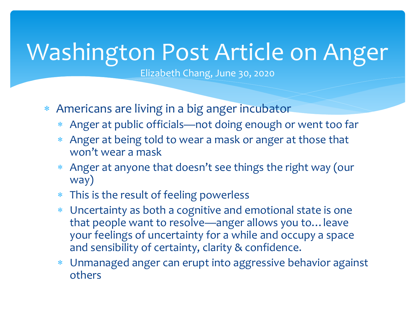### Washington Post Article on Anger

Elizabeth Chang, June 30, 2020

- Americans are living in a big anger incubator
	- Anger at public officials—not doing enough or went too far
	- Anger at being told to wear a mask or anger at those that won't wear a mask
	- Anger at anyone that doesn't see things the right way (our way)
	- This is the result of feeling powerless
	- Uncertainty as both a cognitive and emotional state is one that people want to resolve—anger allows you to…leave your feelings of uncertainty for a while and occupy a space and sensibility of certainty, clarity & confidence.
	- Unmanaged anger can erupt into aggressive behavior against others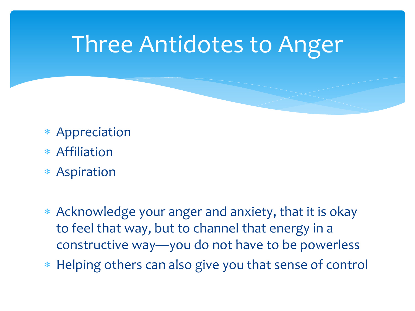#### Three Antidotes to Anger

- Appreciation
- Affiliation
- Aspiration
- Acknowledge your anger and anxiety, that it is okay to feel that way, but to channel that energy in a constructive way—you do not have to be powerless
- Helping others can also give you that sense of control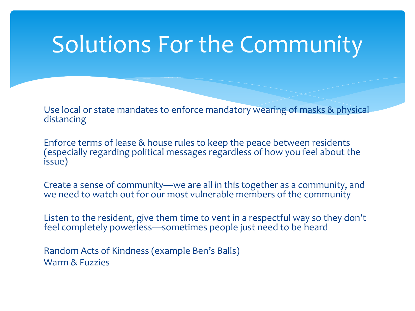#### Solutions For the Community

Use local or state mandates to enforce mandatory wearing of masks & physical distancing

Enforce terms of lease & house rules to keep the peace between residents (especially regarding political messages regardless of how you feel about the issue)

Create a sense of community—we are all in this together as a community, and we need to watch out for our most vulnerable members of the community

Listen to the resident, give them time to vent in a respectful way so they don't feel completely powerless—sometimes people just need to be heard

Random Acts of Kindness (example Ben's Balls) Warm & Fuzzies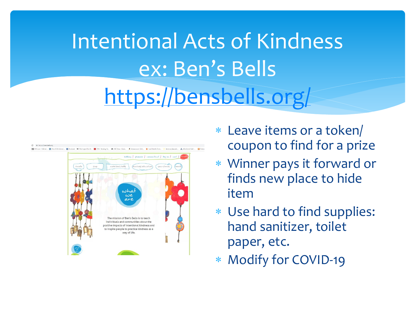## Intentional Acts of Kindness ex: Ben's Bells https://bensbells.org



- Leave items or a token/ coupon to find for a prize
- Winner pays it forward or finds new place to hide item
- Use hard to find supplies: hand sanitizer, toilet paper, etc.
- Modify for COVID-19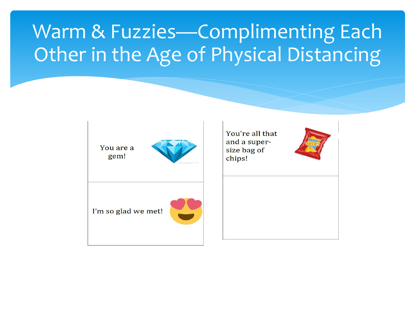#### Warm & Fuzzies—Complimenting Each Other in the Age of Physical Distancing

You are a gem!



I'm so glad we met!



You're all that and a supersize bag of chips!